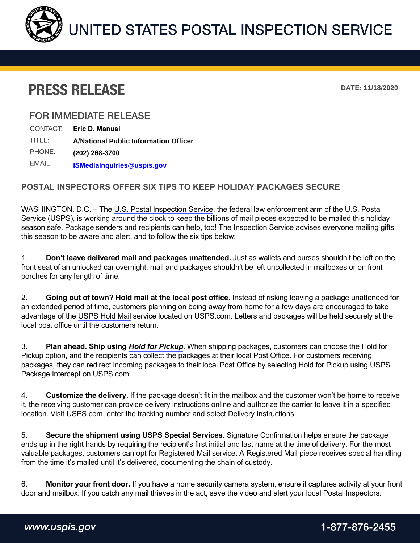

## **PRESS RELEASE**

**DATE: 11/18/2020**

## **FOR IMMEDIATE RELEASE**

| CONTACT: | Eric D. Manuel                               |
|----------|----------------------------------------------|
| TITLE:   | <b>A/National Public Information Officer</b> |
| PHONE:   | (202) 268-3700                               |
| EMAIL:   | <b>ISMediaInquiries@uspis.gov</b>            |

## **POSTAL INSPECTORS OFFER SIX TIPS TO KEEP HOLIDAY PACKAGES SECURE**

WASHINGTON, D.C. – The [U.S. Postal Inspection Service,](https://www.uspis.gov/) the federal law enforcement arm of the U.S. Postal Service (USPS), is working around the clock to keep the billions of mail pieces expected to be mailed this holiday season safe. Package senders and recipients can help, too! The Inspection Service advises everyone mailing gifts this season to be aware and alert, and to follow the six tips below:

1. **Don't leave delivered mail and packages unattended.** Just as wallets and purses shouldn't be left on the front seat of an unlocked car overnight, mail and packages shouldn't be left uncollected in mailboxes or on front porches for any length of time.

2. **Going out of town? Hold mail at the local post office.** Instead of risking leaving a package unattended for an extended period of time, customers planning on being away from home for a few days are encouraged to take advantage of the [USPS Hold Mail](https://reg.usps.com/login?app=HOLDMAIL&appURL=https%3A%2F%2Fholdmail.usps.com%2Fholdmail%2F) service located on USPS.com. Letters and packages will be held securely at the local post office until the customers return.

3. **Plan ahead. Ship using** *[Hold for Pickup](https://www.usps.com/manage/package-intercept.htm)*. When shipping packages, customers can choose the Hold for Pickup option, and the recipients can collect the packages at their local Post Office. For customers receiving packages, they can redirect incoming packages to their local Post Office by selecting Hold for Pickup using USPS Package Intercept on USPS.com.

4. **Customize the delivery.** If the package doesn't fit in the mailbox and the customer won't be home to receive it, the receiving customer can provide delivery instructions online and authorize the carrier to leave it in a specified location. Visit [USPS.com,](www.usps.com) enter the tracking number and select Delivery Instructions.

5. **Secure the shipment using USPS Special Services.** Signature Confirmation helps ensure the package ends up in the right hands by requiring the recipient's first initial and last name at the time of delivery. For the most valuable packages, customers can opt for Registered Mail service. A Registered Mail piece receives special handling from the time it's mailed until it's delivered, documenting the chain of custody.

6. **Monitor your front door.** If you have a home security camera system, ensure it captures activity at your front door and mailbox. If you catch any mail thieves in the act, save the video and alert your local Postal Inspectors.